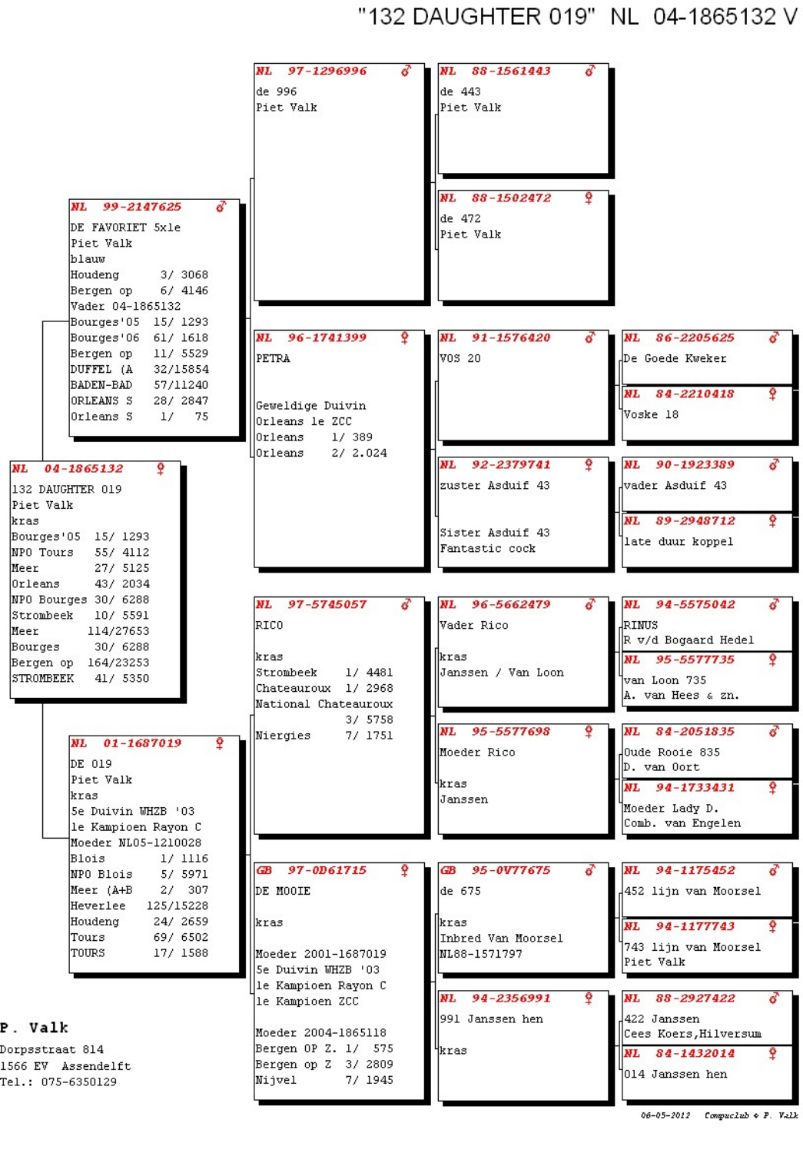"132 DAUGHTER 019" NL 04-1865132 V



| Meer (A+B | 307<br>27 |
|-----------|-----------|
| Heverlee  | 125/15228 |
| Houdeng   | 24/ 2659  |
| Tours     | 697 6502  |
| TOURS     | 17/ 1588  |

P. Valk

Dorpsstraat 814 1566 EV Assendelft Tel.: 075-6350129

|      | DE MOOIE            |  |                     |  |
|------|---------------------|--|---------------------|--|
| kras |                     |  |                     |  |
|      | Moeder 2001-1687019 |  |                     |  |
|      | 5e Duivin WHZB '03  |  |                     |  |
|      | le Kampioen Rayon C |  |                     |  |
|      | le Kampioen ZCC     |  |                     |  |
|      | Moeder 2004-1865118 |  |                     |  |
|      |                     |  | Bergen OP Z. 1/ 575 |  |
|      |                     |  | Bergen op Z 3/ 2809 |  |
|      | Nijvel              |  | 7/ 1945             |  |

| de 675                                     | 4452 lijn van Moorsel                                          |
|--------------------------------------------|----------------------------------------------------------------|
| kras<br>Inbred Van Moorsel<br>ML88-1571797 | <b>NL</b><br>94-1177743<br>743 lijn van Moorsel<br> Piet Valk  |
| NL.<br>94-2356991<br>991 Janssen hen       | <b>NL</b><br>88-2927422<br>422 Janssen<br>Cees Koers,Hilversum |
| ikras                                      | Ŷ<br>NL 84-1432014<br>1014 Janssen hen                         |

<sup>06-05-2012</sup> Compuclub + P. Valk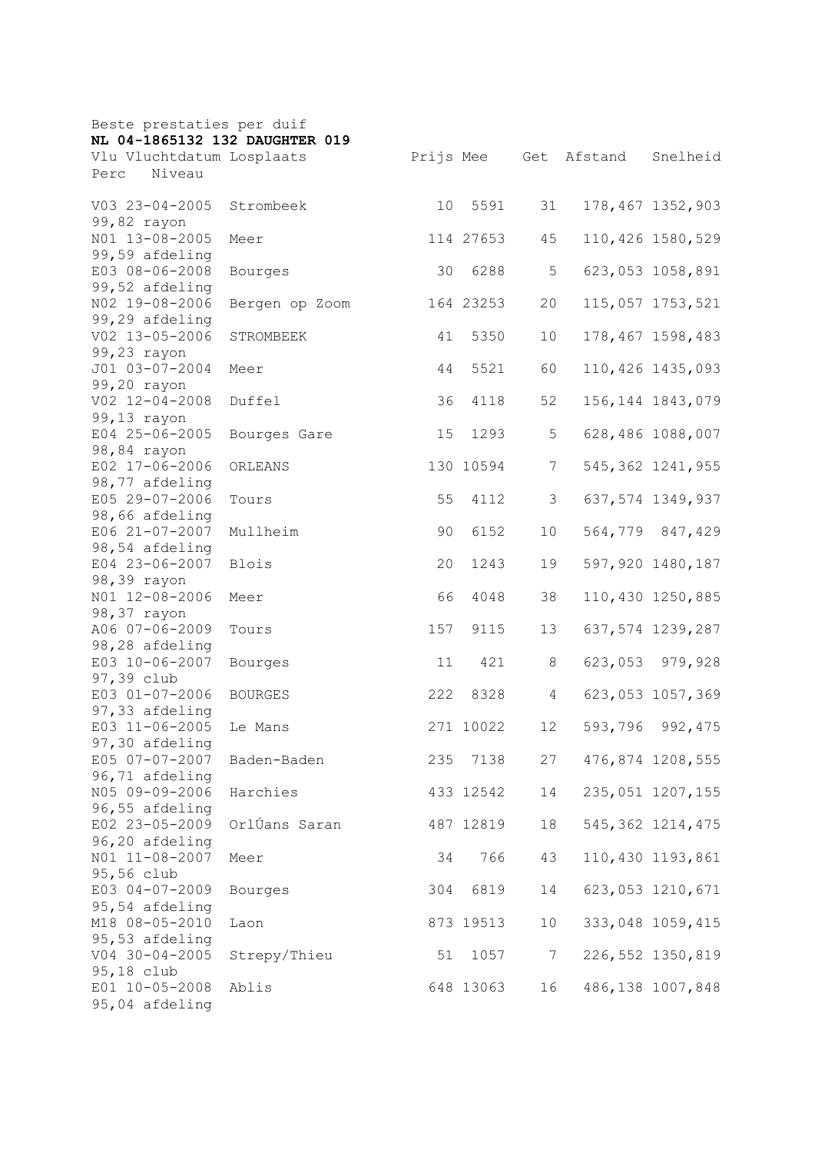| Beste prestaties per duif        |                |     |           |                |         |                    |
|----------------------------------|----------------|-----|-----------|----------------|---------|--------------------|
| NL 04-1865132 132 DAUGHTER 019   |                |     |           |                |         |                    |
| Vlu Vluchtdatum Losplaats        |                |     | Prijs Mee | Get            | Afstand | Snelheid           |
| Niveau<br>Perc                   |                |     |           |                |         |                    |
| V03 23-04-2005                   | Strombeek      | 10  | 5591      | 31             |         | 178,467 1352,903   |
| 99,82 rayon                      |                |     |           |                |         |                    |
| NO1 13-08-2005                   | Meer           |     | 114 27653 | 45             |         | 110,426 1580,529   |
| 99,59 afdeling                   |                |     |           |                |         |                    |
| E03 08-06-2008                   | Bourges        | 30  | 6288      | 5              |         | 623,053 1058,891   |
| 99,52 afdeling                   |                |     |           |                |         |                    |
| NO2 19-08-2006                   | Bergen op Zoom |     | 164 23253 | 20             |         | 115,057 1753,521   |
| 99,29 afdeling                   |                |     |           |                |         |                    |
| V02 13-05-2006                   | STROMBEEK      | 41  | 5350      | 10             |         | 178,467 1598,483   |
| 99,23 rayon                      |                |     |           |                |         |                    |
| J01 03-07-2004                   | Meer           | 44  | 5521      | 60             |         | 110,426 1435,093   |
| 99,20 rayon                      |                |     |           |                |         | 156, 144 1843, 079 |
| V02 12-04-2008<br>99,13 rayon    | Duffel         | 36  | 4118      | 52             |         |                    |
| E04 25-06-2005                   |                | 15  | 1293      | 5              |         | 628,486 1088,007   |
| 98,84 rayon                      | Bourges Gare   |     |           |                |         |                    |
| E02 17-06-2006                   | ORLEANS        |     | 130 10594 | 7              |         | 545, 362 1241, 955 |
| 98,77 afdeling                   |                |     |           |                |         |                    |
| E05 29-07-2006                   | Tours          | 55  | 4112      | 3              |         | 637,574 1349,937   |
| 98,66 afdeling                   |                |     |           |                |         |                    |
| E06 21-07-2007                   | Mullheim       | 90  | 6152      | 10             |         | 564,779 847,429    |
| 98,54 afdeling                   |                |     |           |                |         |                    |
| E04 23-06-2007                   | <b>Blois</b>   | 20  | 1243      | 19             |         | 597,920 1480,187   |
| 98,39 rayon                      |                |     |           |                |         |                    |
| NO1 12-08-2006                   | Meer           | 66  | 4048      | 38             |         | 110,430 1250,885   |
| 98,37 rayon                      |                |     |           |                |         |                    |
| A06 07-06-2009                   | Tours          | 157 | 9115      | 13             |         | 637,574 1239,287   |
| 98,28 afdeling                   |                |     |           |                |         |                    |
| E03 10-06-2007                   | Bourges        | 11  | 421       | 8              | 623,053 | 979,928            |
| 97,39 club                       |                |     |           |                |         |                    |
| E03 01-07-2006                   | <b>BOURGES</b> | 222 | 8328      | 4              |         | 623,053 1057,369   |
| 97,33 afdeling                   |                |     |           |                |         |                    |
| E03 11-06-2005                   | Le Mans        |     | 271 10022 | 12             | 593,796 | 992, 475           |
| 97,30 afdeling<br>E05 07-07-2007 | Baden-Baden    |     |           | 27             |         |                    |
| 96,71 afdeling                   |                |     | 235 7138  |                |         | 476,874 1208,555   |
| N05 09-09-2006                   | Harchies       |     | 433 12542 | 14             |         | 235,051 1207,155   |
| 96,55 afdeling                   |                |     |           |                |         |                    |
| E02 23-05-2009                   | OrlÚans Saran  |     | 487 12819 | 18             |         | 545, 362 1214, 475 |
| 96,20 afdeling                   |                |     |           |                |         |                    |
| N01 11-08-2007                   | Meer           | 34  | 766       | 43             |         | 110,430 1193,861   |
| 95,56 club                       |                |     |           |                |         |                    |
| E03 04-07-2009                   | Bourges        | 304 | 6819      | 14             |         | 623,053 1210,671   |
| 95,54 afdeling                   |                |     |           |                |         |                    |
| M18 08-05-2010                   | Laon           |     | 873 19513 | 10             |         | 333,048 1059,415   |
| 95,53 afdeling                   |                |     |           |                |         |                    |
| $V04 30 - 04 - 2005$             | Strepy/Thieu   | 51  | 1057      | 7 <sup>7</sup> |         | 226, 552 1350, 819 |
| 95,18 club                       |                |     |           |                |         |                    |
| E01 10-05-2008                   | Ablis          |     | 648 13063 | 16             |         | 486,138 1007,848   |
| 95,04 afdeling                   |                |     |           |                |         |                    |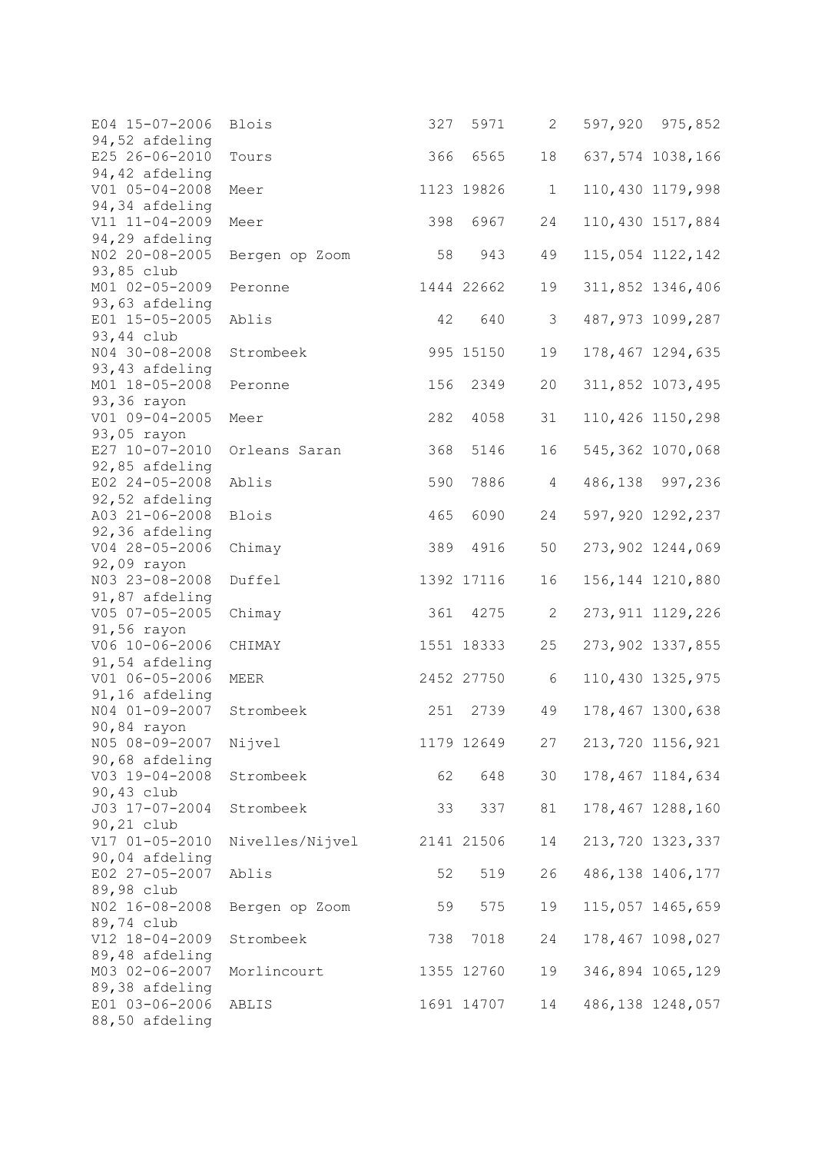| E04 15-07-2006                   | Blois           | 327 | 5971       | 2              | 597,920 975,852    |
|----------------------------------|-----------------|-----|------------|----------------|--------------------|
| 94,52 afdeling<br>E25 26-06-2010 | Tours           | 366 | 6565       | 18             | 637,574 1038,166   |
| 94,42 afdeling                   |                 |     |            |                |                    |
| $V01 05 - 04 - 2008$             | Meer            |     | 1123 19826 | $\mathbf 1$    | 110,430 1179,998   |
| 94,34 afdeling                   |                 |     |            |                |                    |
| V11 11-04-2009                   | Meer            | 398 | 6967       | 24             | 110,430 1517,884   |
| 94,29 afdeling<br>NO2 20-08-2005 | Bergen op Zoom  | 58  | 943        | 49             | 115,054 1122,142   |
| 93,85 club                       |                 |     |            |                |                    |
| M01 02-05-2009                   | Peronne         |     | 1444 22662 | 19             | 311,852 1346,406   |
| 93,63 afdeling                   |                 |     |            |                |                    |
| E01 15-05-2005                   | Ablis           | 42  | 640        | 3              | 487,973 1099,287   |
| 93,44 club                       |                 |     |            |                |                    |
| N04 30-08-2008                   | Strombeek       |     | 995 15150  | 19             | 178,467 1294,635   |
| 93,43 afdeling                   |                 |     |            |                |                    |
| M01 18-05-2008<br>93,36 rayon    | Peronne         | 156 | 2349       | 20             | 311,852 1073,495   |
| V01 09-04-2005                   | Meer            | 282 | 4058       | 31             | 110,426 1150,298   |
| 93,05 rayon                      |                 |     |            |                |                    |
| E27 10-07-2010                   | Orleans Saran   | 368 | 5146       | 16             | 545,362 1070,068   |
| 92,85 afdeling                   |                 |     |            |                |                    |
| E02 24-05-2008                   | Ablis           | 590 | 7886       | $\overline{4}$ | 486,138 997,236    |
| 92,52 afdeling                   |                 |     |            |                |                    |
| A03 21-06-2008                   | Blois           | 465 | 6090       | 24             | 597,920 1292,237   |
| 92,36 afdeling                   |                 |     |            |                |                    |
| V04 28-05-2006<br>92,09 rayon    | Chimay          | 389 | 4916       | 50             | 273,902 1244,069   |
| N03 23-08-2008                   | Duffel          |     | 1392 17116 | 16             | 156, 144 1210, 880 |
| 91,87 afdeling                   |                 |     |            |                |                    |
| V05 07-05-2005                   | Chimay          | 361 | 4275       | 2              | 273, 911 1129, 226 |
| 91,56 rayon                      |                 |     |            |                |                    |
| V06 10-06-2006                   | CHIMAY          |     | 1551 18333 | 25             | 273,902 1337,855   |
| 91,54 afdeling                   |                 |     |            |                |                    |
| V01 06-05-2006                   | MEER            |     | 2452 27750 | 6              | 110,430 1325,975   |
| 91,16 afdeling                   |                 |     |            |                |                    |
| N04 01-09-2007<br>90,84 rayon    | Strombeek       | 251 | 2739       | 49             | 178,467 1300,638   |
| N05 08-09-2007                   | Nijvel          |     | 1179 12649 | 27             | 213,720 1156,921   |
| 90,68 afdeling                   |                 |     |            |                |                    |
| V03 19-04-2008                   | Strombeek       | 62  | 648        | 30             | 178,467 1184,634   |
| 90,43 club                       |                 |     |            |                |                    |
| J03 17-07-2004                   | Strombeek       | 33  | 337        | 81             | 178,467 1288,160   |
| 90,21 club                       |                 |     |            |                |                    |
| V17 01-05-2010                   | Nivelles/Nijvel |     | 2141 21506 | 14             | 213,720 1323,337   |
| 90,04 afdeling<br>E02 27-05-2007 | Ablis           | 52  |            | 26             |                    |
| 89,98 club                       |                 |     | 519        |                | 486, 138 1406, 177 |
| NO2 16-08-2008                   | Bergen op Zoom  | 59  | 575        | 19             | 115,057 1465,659   |
| 89,74 club                       |                 |     |            |                |                    |
| V12 18-04-2009                   | Strombeek       | 738 | 7018       | 24             | 178,467 1098,027   |
| 89,48 afdeling                   |                 |     |            |                |                    |
| M03 02-06-2007                   | Morlincourt     |     | 1355 12760 | 19             | 346,894 1065,129   |
| 89,38 afdeling                   |                 |     |            |                |                    |
| E01 03-06-2006                   | ABLIS           |     | 1691 14707 | 14             | 486,138 1248,057   |
| 88,50 afdeling                   |                 |     |            |                |                    |